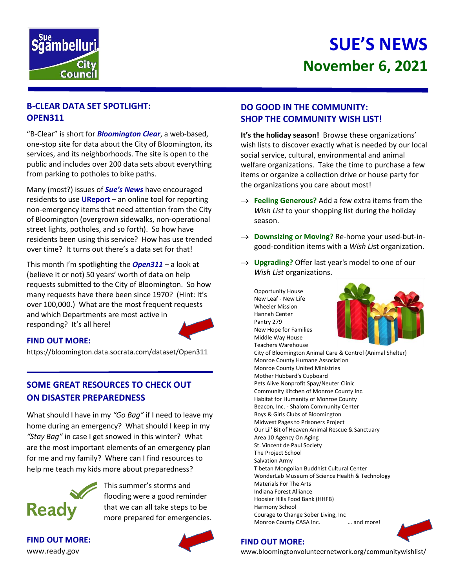

# **SUE'S NEWS November 6, 2021**

# **B-CLEAR DATA SET SPOTLIGHT: OPEN311**

"B-Clear" is short for *Bloomington Clear*, a web-based, one-stop site for data about the City of Bloomington, its services, and its neighborhoods. The site is open to the public and includes over 200 data sets about everything from parking to potholes to bike paths.

Many (most?) issues of *Sue's News* have encouraged residents to use **UReport** – an online tool for reporting non-emergency items that need attention from the City of Bloomington (overgrown sidewalks, non-operational street lights, potholes, and so forth). So how have residents been using this service? How has use trended over time? It turns out there's a data set for that!

This month I'm spotlighting the *Open311* – a look at (believe it or not) 50 years' worth of data on help requests submitted to the City of Bloomington. So how many requests have there been since 1970? (Hint: It's over 100,000.) What are the most frequent requests and which Departments are most active in responding? It's all here!



#### **FIND OUT MORE:**

https://bloomington.data.socrata.com/dataset/Open311

# **SOME GREAT RESOURCES TO CHECK OUT ON DISASTER PREPAREDNESS**

What should I have in my *"Go Bag"* if I need to leave my home during an emergency? What should I keep in my *"Stay Bag"* in case I get snowed in this winter? What are the most important elements of an emergency plan for me and my family? Where can I find resources to help me teach my kids more about preparedness?



This summer's storms and flooding were a good reminder that we can all take steps to be more prepared for emergencies.

**FIND OUT MORE:** www.ready.gov

## **DO GOOD IN THE COMMUNITY: SHOP THE COMMUNITY WISH LIST!**

**It's the holiday season!** Browse these organizations' wish lists to discover exactly what is needed by our local social service, cultural, environmental and animal welfare organizations. Take the time to purchase a few items or organize a collection drive or house party for the organizations you care about most!

- $\rightarrow$  Feeling Generous? Add a few extra items from the *Wish List* to your shopping list during the holiday season.
- → **Downsizing or Moving?** Re-home your used-but-ingood-condition items with a *Wish Li*st organization.
- $\rightarrow$  Upgrading? Offer last year's model to one of our *Wish List* organizations.

Opportunity House New Leaf - New Life Wheeler Mission Hannah Center Pantry 279 New Hope for Families Middle Way House Teachers Warehouse City of Bloomington Animal Care & Control (Animal Shelter) Monroe County Humane Association Monroe County United Ministries Mother Hubbard's Cupboard Pets Alive Nonprofit Spay/Neuter Clinic Community Kitchen of Monroe County Inc. Habitat for Humanity of Monroe County Beacon, Inc. - Shalom Community Center Boys & Girls Clubs of Bloomington Midwest Pages to Prisoners Project Our Lil' Bit of Heaven Animal Rescue & Sanctuary Area 10 Agency On Aging St. Vincent de Paul Society The Project School Salvation Army Tibetan Mongolian Buddhist Cultural Center WonderLab Museum of Science Health & Technology Materials For The Arts Indiana Forest Alliance Hoosier Hills Food Bank (HHFB) Harmony School Courage to Change Sober Living, Inc Monroe County CASA Inc. **Example 2** ... and more!



### **FIND OUT MORE:**

www.bloomingtonvolunteernetwork.org/communitywishlist/